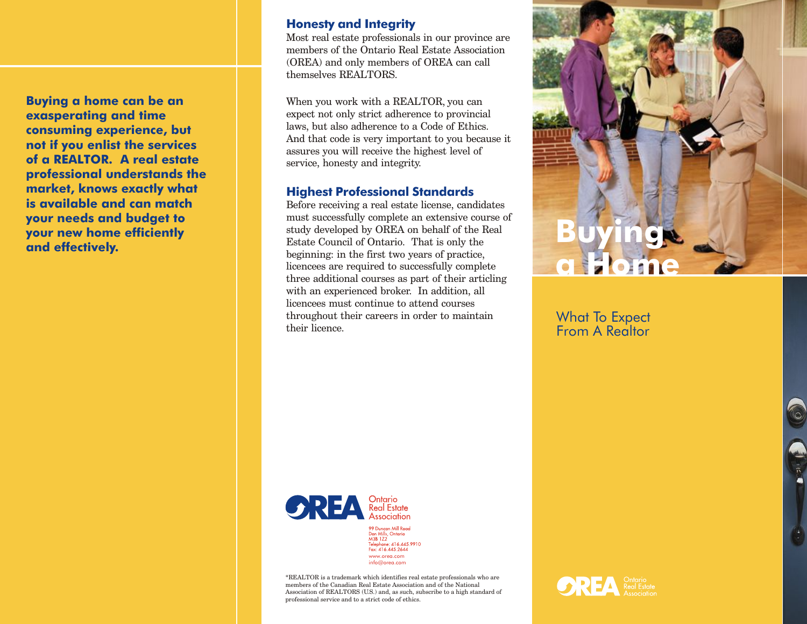**Buying a home can be an exasperating and time consuming experience, but not if you enlist the services of a REALTOR. A real estate professional understands the market, knows exactly what is available and can match your needs and budget to your new home efficiently and effectively.** 

#### **Honesty and Integrity**

Most real estate professionals in our province are members of the Ontario Real Estate Association (OREA) and only members of OREA can call themselves REALTORS.

When you work with a REALTOR, you can expect not only strict adherence to provincial laws, but also adherence to a Code of Ethics. And that code is very important to you because it assures you will receive the highest level of service, honesty and integrity.

#### **Highest Professional Standards**

Before receiving a real estate license, candidates must successfully complete an extensive course of study developed by OREA on behalf of the Real Estate Council of Ontario. That is only the beginning: in the first two years of practice, licencees are required to successfully complete three additional courses as part of their articling with an experienced broker. In addition, all licencees must continue to attend courses throughout their careers in order to maintain their licence.



# What To Expect From A Realtor



Don Mills, Ontario<br>M3B 1Z2<br>Telephone: 416.445.9910 Fax: 416.445.2644 www.orea.com info@orea.com

\*REALTOR is a trademark which identifies real estate professionals who are members of the Canadian Real Estate Association and of the National Association of REALTORS (U.S.) and, as such, subscribe to a high standard of professional service and to a strict code of ethics.